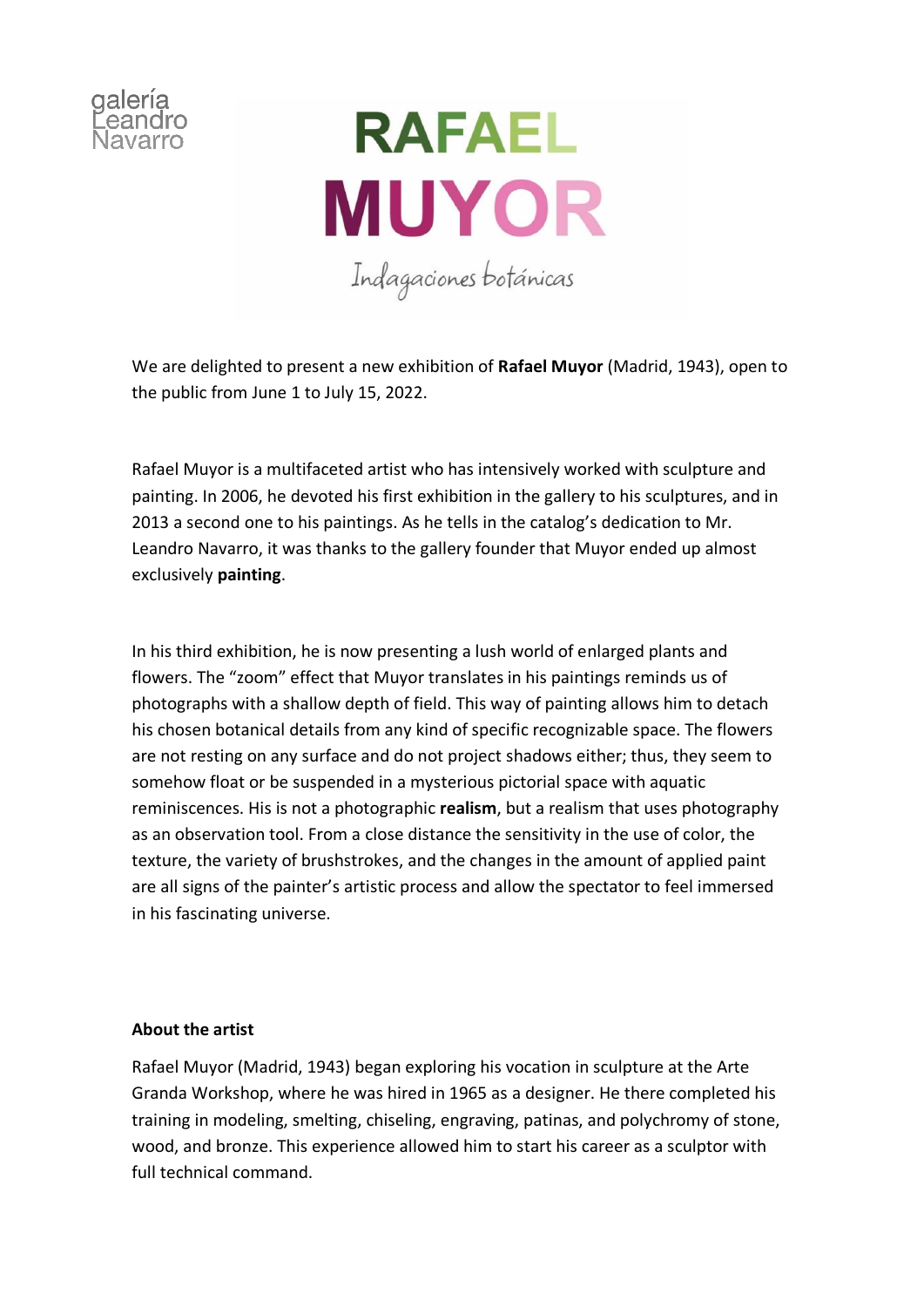



We are delighted to present a new exhibition of **Rafael Muyor** (Madrid, 1943), open to the public from June 1 to July 15, 2022.

Rafael Muyor is a multifaceted artist who has intensively worked with sculpture and painting. In 2006, he devoted his first exhibition in the gallery to his sculptures, and in 2013 a second one to his paintings. As he tells in the catalog's dedication to Mr. Leandro Navarro, it was thanks to the gallery founder that Muyor ended up almost exclusively **painting**.

In his third exhibition, he is now presenting a lush world of enlarged plants and flowers. The "zoom" effect that Muyor translates in his paintings reminds us of photographs with a shallow depth of field. This way of painting allows him to detach his chosen botanical details from any kind of specific recognizable space. The flowers are not resting on any surface and do not project shadows either; thus, they seem to somehow float or be suspended in a mysterious pictorial space with aquatic reminiscences. His is not a photographic **realism**, but a realism that uses photography as an observation tool. From a close distance the sensitivity in the use of color, the texture, the variety of brushstrokes, and the changes in the amount of applied paint are all signs of the painter's artistic process and allow the spectator to feel immersed in his fascinating universe.

## **About the artist**

Rafael Muyor (Madrid, 1943) began exploring his vocation in sculpture at the Arte Granda Workshop, where he was hired in 1965 as a designer. He there completed his training in modeling, smelting, chiseling, engraving, patinas, and polychromy of stone, wood, and bronze. This experience allowed him to start his career as a sculptor with full technical command.